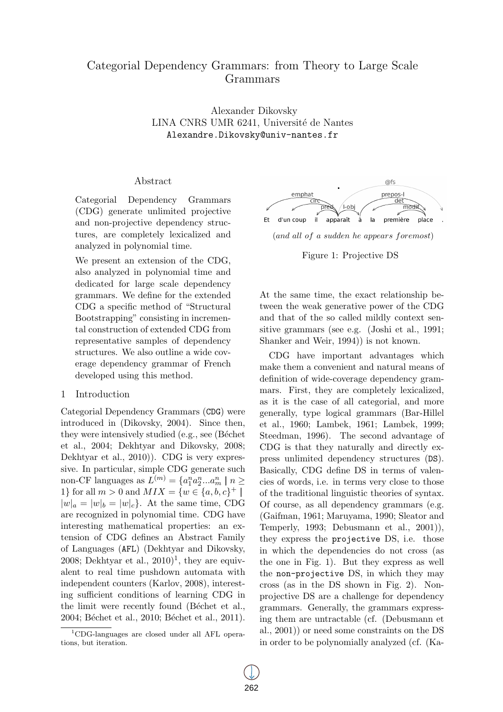# Categorial Dependency Grammars: from Theory to Large Scale Grammars

Alexander Dikovsky LINA CNRS UMR 6241, Université de Nantes Alexandre.Dikovsky@univ-nantes.fr

# Abstract

Categorial Dependency Grammars (CDG) generate unlimited projective and non-projective dependency structures, are completely lexicalized and analyzed in polynomial time.

We present an extension of the CDG, also analyzed in polynomial time and dedicated for large scale dependency grammars. We define for the extended CDG a specific method of "Structural Bootstrapping" consisting in incremental construction of extended CDG from representative samples of dependency structures. We also outline a wide coverage dependency grammar of French developed using this method.

## 1 Introduction

Categorial Dependency Grammars (CDG) were introduced in (Dikovsky, 2004). Since then, they were intensively studied (e.g., see (Béchet) et al., 2004; Dekhtyar and Dikovsky, 2008; Dekhtyar et al., 2010)). CDG is very expressive. In particular, simple CDG generate such non-CF languages as  $L^{(m)} = \{a_1^n a_2^n ... a_m^n \mid n \geq 1\}$ 1} for all  $m > 0$  and  $MIX = \{w \in \{a, b, c\}^+\}$  $|w|_a = |w|_b = |w|_c$ . At the same time, CDG are recognized in polynomial time. CDG have interesting mathematical properties: an extension of CDG defines an Abstract Family of Languages (AFL) (Dekhtyar and Dikovsky,  $2008$ ; Dekhtyar et al.,  $2010$ <sup>1</sup>, they are equivalent to real time pushdown automata with independent counters (Karlov, 2008), interesting sufficient conditions of learning CDG in the limit were recently found (Béchet et al., 2004; Béchet et al., 2010; Béchet et al., 2011).



#### Figure 1: Projective DS

At the same time, the exact relationship between the weak generative power of the CDG and that of the so called mildly context sensitive grammars (see e.g. (Joshi et al., 1991; Shanker and Weir, 1994)) is not known.

CDG have important advantages which make them a convenient and natural means of definition of wide-coverage dependency grammars. First, they are completely lexicalized, as it is the case of all categorial, and more generally, type logical grammars (Bar-Hillel et al., 1960; Lambek, 1961; Lambek, 1999; Steedman, 1996). The second advantage of CDG is that they naturally and directly express unlimited dependency structures (DS). Basically, CDG define DS in terms of valencies of words, i.e. in terms very close to those of the traditional linguistic theories of syntax. Of course, as all dependency grammars (e.g. (Gaifman, 1961; Maruyama, 1990; Sleator and Temperly, 1993; Debusmann et al., 2001)), they express the projective DS, i.e. those in which the dependencies do not cross (as the one in Fig. 1). But they express as well the non-projective DS, in which they may cross (as in the DS shown in Fig. 2). Nonprojective DS are a challenge for dependency grammars. Generally, the grammars expressing them are untractable (cf. (Debusmann et al., 2001)) or need some constraints on the DS in order to be polynomially analyzed (cf. (Ka-

<sup>1</sup>CDG-languages are closed under all AFL operations, but iteration.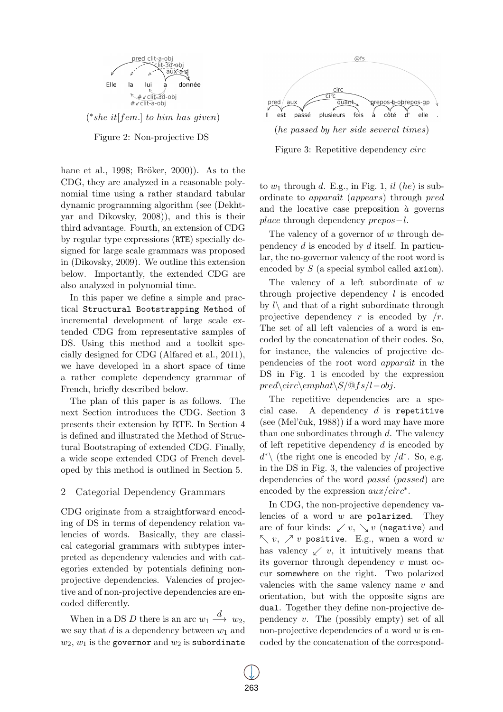

Figure 2: Non-projective DS

hane et al., 1998; Bröker,  $2000$ ). As to the CDG, they are analyzed in a reasonable polynomial time using a rather standard tabular dynamic programming algorithm (see (Dekhtyar and Dikovsky, 2008)), and this is their third advantage. Fourth, an extension of CDG by regular type expressions (RTE) specially designed for large scale grammars was proposed in (Dikovsky, 2009). We outline this extension below. Importantly, the extended CDG are also analyzed in polynomial time.

In this paper we define a simple and practical Structural Bootstrapping Method of incremental development of large scale extended CDG from representative samples of DS. Using this method and a toolkit specially designed for CDG (Alfared et al., 2011), we have developed in a short space of time a rather complete dependency grammar of French, briefly described below.

The plan of this paper is as follows. The next Section introduces the CDG. Section 3 presents their extension by RTE. In Section 4 is defined and illustrated the Method of Structural Bootstraping of extended CDG. Finally, a wide scope extended CDG of French developed by this method is outlined in Section 5.

## 2 Categorial Dependency Grammars

CDG originate from a straightforward encoding of DS in terms of dependency relation valencies of words. Basically, they are classical categorial grammars with subtypes interpreted as dependency valencies and with categories extended by potentials defining nonprojective dependencies. Valencies of projective and of non-projective dependencies are encoded differently.

When in a DS  $D$  there is an arc  $w_1 \stackrel{d}{\longrightarrow} w_2$ , we say that *d* is a dependency between *w*<sup>1</sup> and  $w_2, w_1$  is the governor and  $w_2$  is subordinate



Figure 3: Repetitive dependency *circ*

to  $w_1$  through  $d$ . E.g., in Fig. 1,  $il$  (*he*) is subordinate to *appara*ˆı*t* (*appears*) through *pred* and the locative case preposition  $\dot{a}$  governs *place* through dependency *prepos−l*.

The valency of a governor of *w* through dependency *d* is encoded by *d* itself. In particular, the no-governor valency of the root word is encoded by *S* (a special symbol called axiom).

The valency of a left subordinate of *w* through projective dependency *l* is encoded by  $l\setminus$  and that of a right subordinate through projective dependency *r* is encoded by */r*. The set of all left valencies of a word is encoded by the concatenation of their codes. So, for instance, the valencies of projective dependencies of the root word *appara*ˆı*t* in the DS in Fig. 1 is encoded by the expression *pred\circ\emphat\S/*@*fs/l−obj*.

The repetitive dependencies are a special case. A dependency *d* is repetitive  $(see (Mel'čuk, 1988))$  if a word may have more than one subordinates through *d*. The valency of left repetitive dependency *d* is encoded by *d*<sup>\*</sup> $\setminus$  (the right one is encoded by */d*<sup>\*</sup>. So, e.g. in the DS in Fig. 3, the valencies of projective dependencies of the word *passe*<sup>(*passed*) are</sup> encoded by the expression *aux/circ∗* .

In CDG, the non-projective dependency valencies of a word *w* are polarized. They are of four kinds:  $\swarrow v$ ,  $\searrow v$  (negative) and *↖ v*, *↗ v* positive. E.g., wnen a word *w* has valency  $\swarrow v$ , it intuitively means that its governor through dependency *v* must occur somewhere on the right. Two polarized valencies with the same valency name *v* and orientation, but with the opposite signs are dual. Together they define non-projective dependency *v*. The (possibly empty) set of all non-projective dependencies of a word *w* is encoded by the concatenation of the correspond-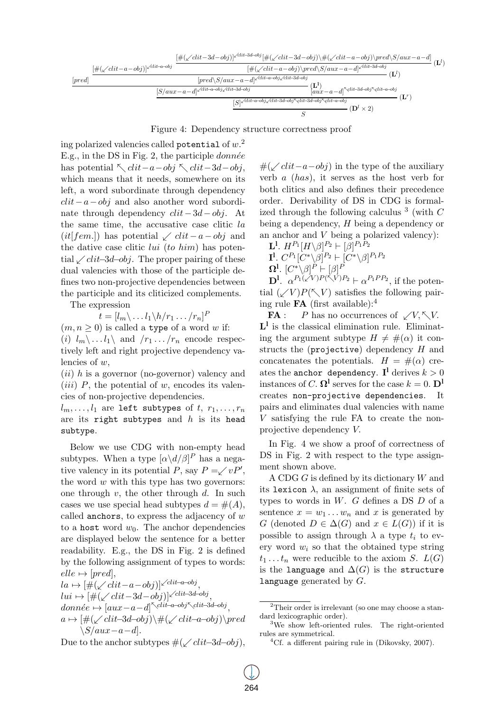

Figure 4: Dependency structure correctness proof

ing polarized valencies called potential of *w*. 2 E.g., in the DS in Fig. 2, the participle *donnee*´ has potential *↖ clit−a−obj ↖ clit−*3*d−obj*, which means that it needs, somewhere on its left, a word subordinate through dependency *clit−a−obj* and also another word subordinate through dependency *clit−*3*d−obj*. At the same time, the accusative case clitic *la* (*it*[*fem.*]) has potential *↙ clit−a−obj* and the dative case clitic *lui* (*to him*) has potential *↙clit−*3*d−obj*. The proper pairing of these dual valencies with those of the participle defines two non-projective dependencies between the participle and its cliticized complements.

The expression

$$
t=[l_m\backslash \dots l_1\backslash h/r_1\dots/r_n]^P
$$

 $(m, n \geq 0)$  is called a type of a word *w* if:

(*i*)  $l_m \setminus \ldots l_1 \setminus \ldots$  and  $/r_1 \ldots /r_n$  encode respectively left and right projective dependency valencies of *w*,

(*ii*) *h* is a governor (no-governor) valency and (*iii*) *P*, the potential of *w*, encodes its valencies of non-projective dependencies.

 $l_m$ , ...,  $l_1$  are left subtypes of  $t$ ,  $r_1$ , ...,  $r_n$ are its right subtypes and *h* is its head subtype.

Below we use CDG with non-empty head subtypes. When a type  $\left[\alpha \langle d/\beta\right]^P$  has a negative valency in its potential *P*, say  $P = \swarrow vP'$ , the word *w* with this type has two governors: one through *v*, the other through *d*. In such cases we use special head subtypes  $d = \#(A)$ , called anchors, to express the adjacency of *w* to a host word  $w_0$ . The anchor dependencies are displayed below the sentence for a better readability. E.g., the DS in Fig. 2 is defined by the following assignment of types to words:  $elle \mapsto [pred],$ 

 $la A \mapsto [\#(\swarrow \text{clit} - a - \text{obj})]^{\swarrow \text{clit} - a - \text{obj}},$ *lui 7→* [#(*↙clit−*3*d−obj*)]*↙clit−*3*d−obj* ,  $\frac{1}{2}$ *donnée*  $\mapsto$   $\left[ aux-a-d \right]$ <sup>*⊼*</sup> $\left\{ \frac{1}{2}$ *d*-*obj*<sub>*∕*</sub>*k*<sub>*dit*-3*d-obj*<sub>*i*</sub></sub> *a 7→* [#(*↙clit−*3*d−obj*)*\*#(*↙clit−a−obj*)*\pred \S/aux−a−d*].

Due to the anchor subtypes #(*↙clit−*3*d−obj*),

#(*↙clit−a−obj*) in the type of the auxiliary verb *a* (*has*), it serves as the host verb for both clitics and also defines their precedence order. Derivability of DS in CDG is formalized through the following calculus <sup>3</sup> (with *C* being a dependency, *H* being a dependency or an anchor and *V* being a polarized valency):

$$
\mathbf{L}^{1}.\ H^{P_{1}}[H\backslash\beta]^{P_{2}}\vdash[\beta]^{P_{1}P_{2}}
$$
\n
$$
\mathbf{I}^{1}.\ C^{P_{1}}[C^{*}\backslash\beta]^{P_{2}}\vdash[C^{*}\backslash\beta]^{P_{1}P_{2}}
$$
\n
$$
\mathbf{\Omega}^{1}.\ [C^{*}\backslash\beta]^{P}\vdash[\beta]^{P}
$$
\n
$$
\mathbf{L}^{1}.\ (A\backslash\beta]^{P_{1}\backslash\beta}\backslash\beta_{1}B_{2}\vdash\beta_{2}B_{2}
$$

 $\mathbf{D}^{\mathbf{l}}$ *.*  $\alpha^{P_1(\sqrt{V})P(\sqrt{V})P_2} \vdash \alpha^{P_1PP_2}$ , if the potential  $(\sqrt{V})P(\sqrt{V})$  satisfies the following pairing rule **FA** (first available):<sup>4</sup>

 $FA: P$  has no occurrences of  $\sqrt{V}$ ,  $\sqrt{V}$ . **L l** is the classical elimination rule. Eliminating the argument subtype  $H \neq \#(\alpha)$  it constructs the (projective) dependency *H* and concatenates the potentials.  $H = \#(\alpha)$  creates the  $\texttt{anchor}$  dependency.  $\mathbf{I}^\text{l}$  derives  $k>0$ instances of *C*.  $\Omega^{\mathbf{l}}$  serves for the case  $k = 0$ .  $\mathbf{D}^{\mathbf{l}}$ creates non-projective dependencies. It pairs and eliminates dual valencies with name *V* satisfying the rule FA to create the nonprojective dependency *V.*

In Fig. 4 we show a proof of correctness of DS in Fig. 2 with respect to the type assignment shown above.

A CDG *G* is defined by its dictionary *W* and its lexicon  $\lambda$ , an assignment of finite sets of types to words in *W*. *G* defines a DS *D* of a sentence  $x = w_1 \dots w_n$  and  $x$  is generated by *G* (denoted  $D \in \Delta(G)$  and  $x \in L(G)$ ) if it is possible to assign through  $\lambda$  a type  $t_i$  to every word  $w_i$  so that the obtained type string  $t_1 \ldots t_n$  were reducible to the axiom *S*.  $L(G)$ is the language and  $\Delta(G)$  is the structure language generated by *G*.

<sup>&</sup>lt;sup>2</sup>Their order is irrelevant (so one may choose a standard lexicographic order).

<sup>&</sup>lt;sup>3</sup>We show left-oriented rules. The right-oriented rules are symmetrical.

 ${}^{4}$ Cf. a different pairing rule in (Dikovsky, 2007).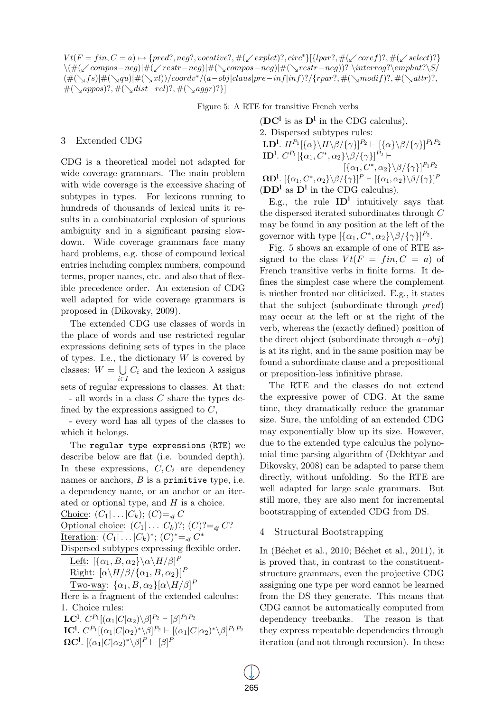$Vt(F = fin, C = a) \mapsto \{pred?, neg?, vocative?, \#(\swarrow explet)?, circ^* \} [\{lpar?, \#(\swarrow coref)?, \#(\swarrow select)? \}$  $\langle \#(\swarrow \text{compos-neg}) | \#(\swarrow \text{compos-neg}) | \#(\searrow \text{compos-neg}) | \#(\searrow \text{compos-neg})$ ? \interrog?\emphat?\S  $(\#(\searrow f s)|\#(\searrow q u)|\#(\searrow x l))/coordv^*/(a-obj|claus|pre-inf|inf)?/\{rpar?, \#(\searrow modif)?, \#(\searrow attr)?,$ #(*↘appos*)?*,* #(*↘dist−rel*)?*,* #(*↘aggr*)?*}*]

Figure 5: A RTE for transitive French verbs

## 3 Extended CDG

CDG is a theoretical model not adapted for wide coverage grammars. The main problem with wide coverage is the excessive sharing of subtypes in types. For lexicons running to hundreds of thousands of lexical units it results in a combinatorial explosion of spurious ambiguity and in a significant parsing slowdown. Wide coverage grammars face many hard problems, e.g. those of compound lexical entries including complex numbers, compound terms, proper names, etc. and also that of flexible precedence order. An extension of CDG well adapted for wide coverage grammars is proposed in (Dikovsky, 2009).

The extended CDG use classes of words in the place of words and use restricted regular expressions defining sets of types in the place of types. I.e., the dictionary *W* is covered by classes:  $W = \bigcup C_i$  and the lexicon  $\lambda$  assigns sets of regular expressions to classes. At that: - all words in a class *C* share the types defined by the expressions assigned to *C*,

- every word has all types of the classes to which it belongs.

The regular type expressions (RTE) we describe below are flat (i.e. bounded depth). In these expressions,  $C, C_i$  are dependency names or anchors, *B* is a primitive type, i.e. a dependency name, or an anchor or an iterated or optional type, and *H* is a choice. Choice:  $(C_1 | \ldots | C_k)$ ;  $(C) = _{d} C$ Optional choice:  $(C_1 | \ldots | C_k)$ ?;  $(C)$ ?= $_{df} C$ ? Iteration:  $(C_1 | ... | C_k)^*$ ;  $(C)^* =_{df} C^*$ Dispersed subtypes expressing flexible order. Left:  $[\{\alpha_1, B, \alpha_2\} \backslash \alpha \backslash H/\beta]^P$  $\text{Right: } [\alpha \backslash H/\beta / \{\alpha_1, B, \alpha_2\}]^P$ Two-way:  $\{\alpha_1, B, \alpha_2\}[\alpha \setminus H/\beta]^P$ Here is a fragment of the extended calculus: 1. Choice rules:  $\mathbf{LC}^{\mathbf{l}}$ *.*  $C^{P_1}[(\alpha_1 | C | \alpha_2) \backslash \beta]^{P_2} \vdash [\beta]^{P_1 P_2}$ 

**IC<sup>l</sup>**.  $C^{P_1}[(\alpha_1 | C | \alpha_2)^* \setminus \beta]^{P_2} \vdash [(\alpha_1 | C | \alpha_2)^* \setminus \beta]^{P_1 P_2}$  $\Omega$ C<sup>l</sup>.  $[(\alpha_1 | C | \alpha_2)^* \backslash \beta]^P$   $\vdash [\beta]^P$ 

 $(DC^1$  is as  $D^1$  in the CDG calculus). 2. Dispersed subtypes rules:  $\mathbf{L}\mathbf{D}^{\mathbf{l}}$ .  $H^{P_1}[\{\alpha\} \backslash \beta/\{\gamma\}]^{P_2} \vdash [\{\alpha\} \backslash \beta/\{\gamma\}]^{P_1P_2}$  $\textbf{ID}^{\textbf{l}}$ *. C*<sup>*P*</sup><sub>1</sub> $[\{\alpha_1, C^*, \alpha_2\} \backslash \beta / \{\gamma\}]^{P_2}$   $\vdash$  $[\{\alpha_1, C^*, \alpha_2\} \setminus \beta / {\{\gamma\}}]^{P_1 P_2}$  $\Omega$ **D<sup>l</sup>.** [{ $\alpha_1, C^*, \alpha_2$ }\ $\beta$ /{ $\gamma$ }]<sup>P</sup>  $\vdash$  [{ $\alpha_1, \alpha_2$ }\ $\beta$ /{ $\gamma$ }]<sup>P</sup>  $(DD^1 \text{ as } D^1 \text{ in the CDG calculus}).$ 

E.g., the rule  $ID^1$  intuitively says that the dispersed iterated subordinates through *C* may be found in any position at the left of the governor with type  $[\{\alpha_1, C^*, \alpha_2\} \setminus \beta / {\{\gamma\}}]^{P_2}$ .

Fig. 5 shows an example of one of RTE assigned to the class  $V t (F = fin, C = a)$  of French transitive verbs in finite forms. It defines the simplest case where the complement is niether fronted nor cliticized. E.g., it states that the subject (subordinate through *pred*) may occur at the left or at the right of the verb, whereas the (exactly defined) position of the direct object (subordinate through *a−obj*) is at its right, and in the same position may be found a subordinate clause and a prepositional or preposition-less infinitive phrase.

The RTE and the classes do not extend the expressive power of CDG. At the same time, they dramatically reduce the grammar size. Sure, the unfolding of an extended CDG may exponentially blow up its size. However, due to the extended type calculus the polynomial time parsing algorithm of (Dekhtyar and Dikovsky, 2008) can be adapted to parse them directly, without unfolding. So the RTE are well adapted for large scale grammars. But still more, they are also ment for incremental bootstrapping of extended CDG from DS.

### 4 Structural Bootstrapping

In (Béchet et al., 2010; Béchet et al., 2011), it is proved that, in contrast to the constituentstructure grammars, even the projective CDG assigning one type per word cannot be learned from the DS they generate. This means that CDG cannot be automatically computed from dependency treebanks. The reason is that they express repeatable dependencies through iteration (and not through recursion). In these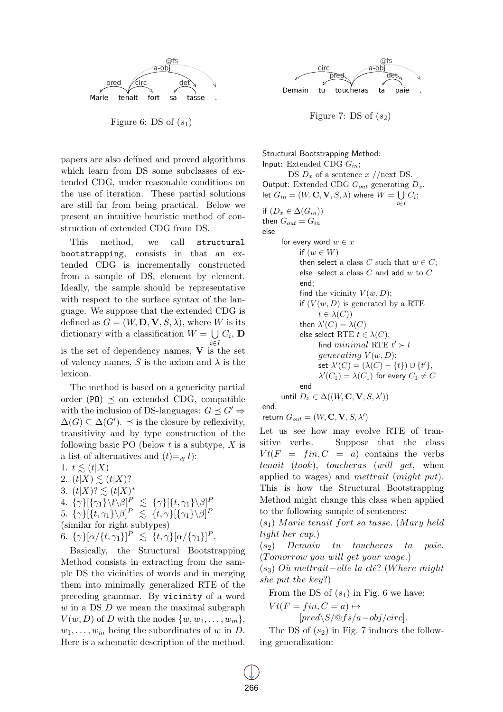

Figure 6: DS of  $(s_1)$ 

papers are also defined and proved algorithms which learn from DS some subclasses of extended CDG, under reasonable conditions on the use of iteration. These partial solutions are still far from being practical. Below we present an intuitive heuristic method of construction of extended CDG from DS.

This method, we call structural bootstrapping, consists in that an extended CDG is incrementally constructed from a sample of DS, element by element. Ideally, the sample should be representative with respect to the surface syntax of the language. We suppose that the extended CDG is defined as  $G = (W, D, V, S, \lambda)$ , where *W* is its dictionary with a classification  $W = \bigcup C_i$ , **D** *i∈I* is the set of dependency names, **V** is the set of valency names,  $S$  is the axiom and  $\lambda$  is the lexicon.

The method is based on a genericity partial order (PO)  $\preceq$  on extended CDG, compatible with the inclusion of DS-languages:  $G \prec G' \Rightarrow$  $\Delta(G) \subseteq \Delta(G')$ .  $\preceq$  is the closure by reflexivity, transitivity and by type construction of the following basic PO (below *t* is a subtype, *X* is a list of alternatives and  $(t)=_{df} t$ :

1.  $t \leq (t|X)$ 

2.  $(t|X) \leq (t|X)?$ 

3.  $(t|X)? \lesssim (t|X)^*$ 

4. 
$$
\{\gamma\}[\{\gamma_1\} \setminus t \setminus \beta]^P \leq {\gamma\}[\{t, \gamma_1\} \setminus \beta]^P
$$
  
5.  $\{\gamma\}[\{t, \gamma_1\} \setminus \beta]^P \leq {\gamma\}[\{\gamma_1\} \setminus \beta]^P$ 

5. 
$$
\{\gamma\}[\{t,\gamma_1\}\setminus\beta]^P \leq \{t,\gamma\}[\{\gamma_1\}\setminus\beta]
$$

(similar for right subtypes)

6.  $\{\gamma\}[\alpha/\{t, \gamma_1\}]^P \leq \{t, \gamma\}[\alpha/\{\gamma_1\}]^P$ .

Basically, the Structural Bootstrapping Method consists in extracting from the sample DS the vicinities of words and in merging them into minimally generalized RTE of the preceding grammar. By vicinity of a word *w* in a DS *D* we mean the maximal subgraph  $V(w, D)$  of *D* with the nodes  $\{w, w_1, \ldots, w_m\},\$  $w_1, \ldots, w_m$  being the subordinates of *w* in *D*. Here is a schematic description of the method.



Figure 7: DS of  $(s_2)$ 

Structural Bootstrapping Method: Input: Extended CDG *Gin*;

DS  $D_x$  of a sentence  $x$  //next DS. Output: Extended CDG *Gout* generating *Dx*. let  $G_{in} = (W, \mathbf{C}, \mathbf{V}, S, \lambda)$  where  $W = \bigcup C_i$ ; *i∈I* if  $(D_x \in \Delta(G_{in}))$ then  $G_{out} = G_{in}$ else for every word  $w \in x$ if  $(w \in W)$ then select a class  $C$  such that  $w \in C$ ; else select a class *C* and add *w* to *C* end; find the vicinity  $V(w, D)$ ; if  $(V(w, D))$  is generated by a RTE  $t \in \lambda(C)$ then  $\lambda'(C) = \lambda(C)$ else select RTE  $t \in \lambda(C)$ ; find  $minimal$  RTE  $t' \succ t$ *generating*  $V(w, D)$ ;  $\mathsf{set} \; \lambda'(C) = (\lambda(C) - \{t\}) \cup \{t'\},$  $\lambda'(C_1) = \lambda(C_1)$  for every  $C_1 \neq C$ end

 $l$ until  $D_x \in \Delta((W, \mathbf{C}, \mathbf{V}, S, \lambda'))$ end;

return  $G_{out} = (W, \mathbf{C}, \mathbf{V}, S, \lambda')$ 

Let us see how may evolve RTE of transitive verbs. Suppose that the class  $V t (F = fin, C = a)$  contains the verbs *tenait* (*took*), *toucheras* (*will get*, when applied to wages) and *mettrait* (*might put*). This is how the Structural Bootstrapping Method might change this class when applied to the following sample of sentences:

(*s*1) *M arie tenait fort sa tasse.* (*M ary held tight her cup.*)

(*s*2) *Demain tu toucheras ta paie.* (*T omorrow you will get your wage.*)

(*s*3) *Ou mettrait* ` *−elle la cle*´? (*W here might she put the key*?)

From the DS of  $(s_1)$  in Fig. 6 we have:

 $V t(F = fin, C = a) \mapsto$ 

[*pred\S/*@*fs/a−obj/circ*].

The DS of  $(s_2)$  in Fig. 7 induces the following generalization: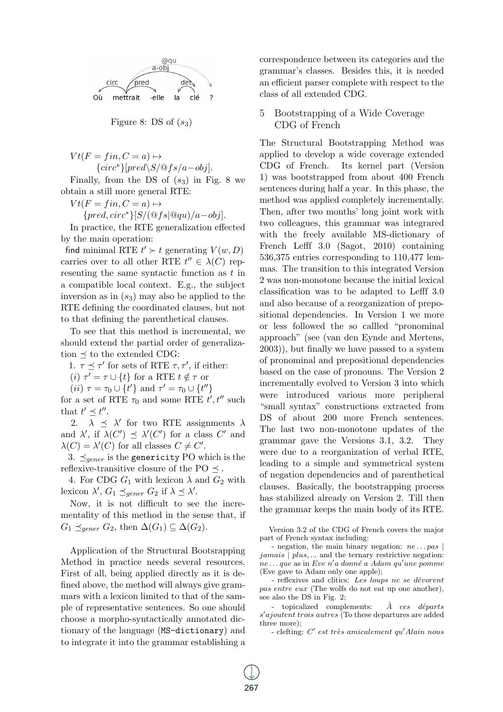

Figure 8: DS of (*s*3)

 $V t(F = fin, C = a) \mapsto$ *{circ∗}*[*pred\S/*@*fs/a−obj*].

Finally, from the DS of  $(s_3)$  in Fig. 8 we obtain a still more general RTE:

 $V t(F = fin, C = a) \mapsto$ 

*{pred, circ∗}*[*S/*(@*fs|*@*qu*)*/a−obj*].

In practice, the RTE generalization effected by the main operation:

find minimal RTE  $t' \succ t$  generating  $V(w, D)$ carries over to all other RTE  $t'' \in \lambda(C)$  representing the same syntactic function as *t* in a compatible local context. E.g., the subject inversion as in (*s*3) may also be applied to the RTE defining the coordinated clauses, but not to that defining the parenthetical clauses.

To see that this method is incremental, we should extend the partial order of generalization *≼* to the extended CDG:

1.  $\tau \preceq \tau'$  for sets of RTE  $\tau, \tau'$ , if either:

 $(i)$   $\tau' = \tau \cup \{t\}$  for a RTE  $t \notin \tau$  or

 $(iii) \tau = \tau_0 \cup \{t'\}$  and  $\tau' = \tau_0 \cup \{t''\}$ 

for a set of RTE  $\tau_0$  and some RTE  $t', t''$  such that  $t' \preceq t''$ .

2.  $\lambda \preceq \lambda'$  for two RTE assignments  $\lambda$ and  $\lambda'$ , if  $\lambda(C') \preceq \lambda'(C')$  for a class  $C'$  and  $\lambda(C) = \lambda'(C)$  for all classes  $C \neq C'$ .

3. *≼gener* is the genericity PO which is the reflexive-transitive closure of the PO  $\preceq$ .

4. For CDG  $G_1$  with lexicon  $\lambda$  and  $G_2$  with lexicon  $\lambda'$ ,  $G_1 \preceq_{gener} G_2$  if  $\lambda \preceq \lambda'$ .

Now, it is not difficult to see the incrementality of this method in the sense that, if  $G_1$  ≾<sub>gener</sub>  $G_2$ , then  $\Delta(G_1) \subseteq \Delta(G_2)$ .

Application of the Structural Bootsrapping Method in practice needs several resources. First of all, being applied directly as it is defined above, the method will always give grammars with a lexicon limited to that of the sample of representative sentences. So one should choose a morpho-syntactically annotated dictionary of the language (MS-dictionary) and to integrate it into the grammar establishing a correspondence between its categories and the grammar's classes. Besides this, it is needed an efficient parser complete with respect to the class of all extended CDG.

# 5 Bootstrapping of a Wide Coverage CDG of French

The Structural Bootstrapping Method was applied to develop a wide coverage extended CDG of French. Its kernel part (Version 1) was bootstrapped from about 400 French sentences during half a year. In this phase, the method was applied completely incrementally. Then, after two months' long joint work with two colleagues, this grammar was integrared with the freely available MS-dictionary of French Lefff 3.0 (Sagot, 2010) containing 536,375 entries corresponding to 110,477 lemmas. The transition to this integrated Version 2 was non-monotone because the initial lexical classification was to be adapted to Lefff 3.0 and also because of a reorganization of prepositional dependencies. In Version 1 we more or less followed the so callled "pronominal approach" (see (van den Eynde and Mertens, 2003)), but finally we have passed to a system of pronominal and prepositional dependencies based on the case of pronouns. The Version 2 incrementally evolved to Version 3 into which were introduced various more peripheral "small syntax" constructions extracted from DS of about 200 more French sentences. The last two non-monotone updates of the grammar gave the Versions 3.1, 3.2. They were due to a reorganization of verbal RTE, leading to a simple and symmetrical system of negation dependencies and of parenthetical clauses. Basically, the bootstrapping process has stabilized already on Version 2. Till then the grammar keeps the main body of its RTE.

Version 3.2 of the CDG of French covers the major part of French syntax including:

- negation, the main binary negation: *ne . . . pas | jamais | plus, ...* and the ternary restrictive negation: *ne . . . que* as in *Eve n′ a donne a Adam qu* ´ *′une pomme* (Eve gave to Adam only one apple);

- reflexives and clitics: Les loups ne se dévorent *pas entre eux* (The wolfs do not eat up one another), see also the DS in Fig. 2;

- topicalized complements:  $\hat{A}$  *ces départs s ′ ajoutent trois autres* (To these departures are added three more);

- clefting: *C ′ est tres amicalement qu* ` *′Alain nous*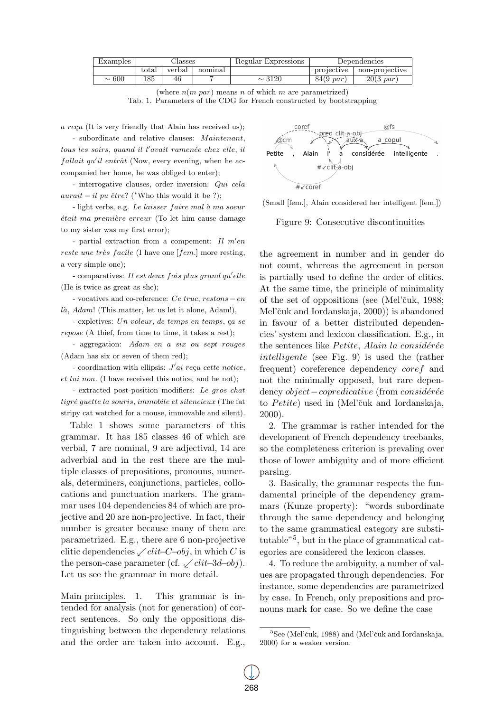| Examples   | Aasses |        |         | Regular Expressions | Dependencies        |                     |
|------------|--------|--------|---------|---------------------|---------------------|---------------------|
|            | total  | verbal | nominal |                     | projective          | non-projective      |
| $\sim 600$ | .85    | 46     |         | $\sim$ 3120         | $84(9 \text{ par})$ | $20(3\,\text{par})$ |

(where  $n(m \text{ par})$  means *n* of which *m* are parametrized) Tab. 1. Parameters of the CDG for French constructed by bootstrapping

*a reçu* (It is very friendly that Alain has received us);

- subordinate and relative clauses: *Maintenant, tous les soirs, quand il l'avait ramenée chez elle, il fallait qu'il entrât* (Now, every evening, when he accompanied her home, he was obliged to enter);

- interrogative clauses, order inversion: *Qui cela aurait*  $-i$ *l pu*  $\hat{e}$ *tre*? (*\**Who this would it be ?);

- light verbs, e.g. *Le laisser faire mal a ma soeur* ` *était ma première erreur* (To let him cause damage to my sister was my first error);

- partial extraction from a compement: *Il m'en reste une très facile* (I have one [*fem.*] more resting, a very simple one);

- comparatives: *I l est deux fois plus grand qu′ elle* (He is twice as great as she);

- vocatives and co-reference: *Ce truc, restons − en là, Adam*! (This matter, let us let it alone, Adam!),

- expletives: Un voleur, de temps en temps, ça se *repose* (A thief, from time to time, it takes a rest);

- aggregation: *Adam en a six ou sept rouges* (Adam has six or seven of them red);

- coordination with ellipsis: *J'ai reçu cette notice*, *et lui non.* (I have received this notice, and he not);

- extracted post-position modifiers: *Le gros chat tigré guette la souris, immobile et silencieux* (The fat stripy cat watched for a mouse, immovable and silent).

Table 1 shows some parameters of this grammar. It has 185 classes 46 of which are verbal, 7 are nominal, 9 are adjectival, 14 are adverbial and in the rest there are the multiple classes of prepositions, pronouns, numerals, determiners, conjunctions, particles, collocations and punctuation markers. The grammar uses 104 dependencies 84 of which are projective and 20 are non-projective. In fact, their number is greater because many of them are parametrized. E.g., there are 6 non-projective clitic dependencies *↙clit−C−obj*, in which *C* is the person-case parameter (cf. *↙clit−*3*d−obj*). Let us see the grammar in more detail.

Main principles. 1. This grammar is intended for analysis (not for generation) of correct sentences. So only the oppositions distinguishing between the dependency relations and the order are taken into account. E.g.,



(Small [fem.], Alain considered her intelligent [fem.])

Figure 9: Consecutive discontinuities

the agreement in number and in gender do not count, whereas the agreement in person is partially used to define the order of clitics. At the same time, the principle of minimality of the set of oppositions (see (Mel'čuk, 1988; Mel'čuk and Iordanskaja, 2000)) is abandoned in favour of a better distributed dependencies' system and lexicon classification. E.g., in the sentences like *Petite*, Alain la considérée *intelligente* (see Fig. 9) is used the (rather frequent) coreference dependency *coref* and not the minimally opposed, but rare dependency *object* − *copredicative* (from *considérée* to *Petite*) used in (Mel'čuk and Iordanskaja, 2000).

2. The grammar is rather intended for the development of French dependency treebanks, so the completeness criterion is prevaling over those of lower ambiguity and of more efficient parsing.

3. Basically, the grammar respects the fundamental principle of the dependency grammars (Kunze property): "words subordinate through the same dependency and belonging to the same grammatical category are substitutable"<sup>5</sup> , but in the place of grammatical categories are considered the lexicon classes.

4. To reduce the ambiguity, a number of values are propagated through dependencies. For instance, some dependencies are parametrized by case. In French, only prepositions and pronouns mark for case. So we define the case

 ${}^{5}$ See (Mel'čuk, 1988) and (Mel'čuk and Iordanskaja, 2000) for a weaker version.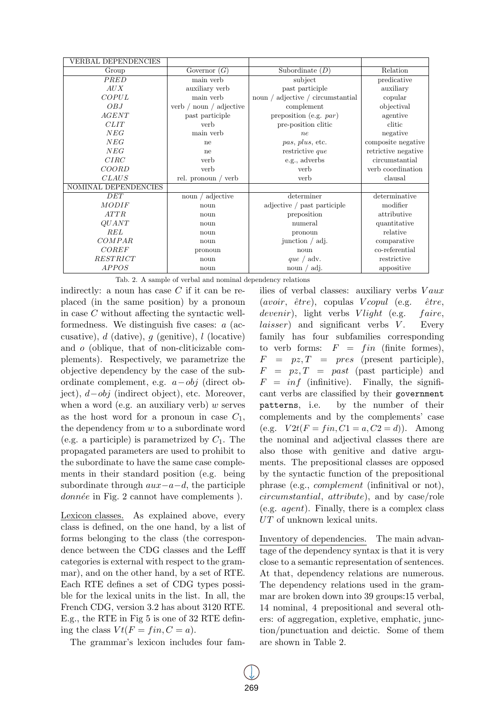| <b>VERBAL DEPENDENCIES</b> |                               |                                   |                     |
|----------------------------|-------------------------------|-----------------------------------|---------------------|
| Group                      | Governor $(G)$                | Subordinate $(D)$                 | Relation            |
| PRED                       | $\overline{\text{main}}$ verb | subject                           | predicative         |
| AUX                        | auxiliary verb                | past participle                   | auxiliary           |
| COPUL                      | main verb                     | noun / adjective / circumstantial | copular             |
| OBJ                        | verb $/$ noun $/$ adjective   | complement                        | objectival          |
| AGENT                      | past participle               | preposition (e.g. $par$ )         | agentive            |
| CLIT                       | verb                          | pre-position clitic               | clitic              |
| NEG                        | main verb                     | $n_{e}$                           | negative            |
| NEG                        | ne                            | pas, plus, etc.                   | composite negative  |
| NEG                        | ne                            | restrictive que                   | retrictive negative |
| CIRC                       | verb                          | e.g., adverbs                     | circumstantial      |
| COORD                      | verb                          | verb                              | verb coordination   |
| <b>CLAUS</b>               | rel. pronoun / verb           | verb                              | clausal             |
| NOMINAL DEPENDENCIES       |                               |                                   |                     |
| DET                        | noun $/$ adjective            | determiner                        | determinative       |
| <b>MODIF</b>               | noun                          | adjective / past participle       | modifier            |
| ATTR                       | noun                          | preposition                       | attributive         |
| <i>QUANT</i>               | noun                          | numeral                           | quantitative        |
| REL                        | noun                          | pronoun                           | relative            |
| COMPAR                     | noun                          | junction $/$ adj.                 | comparative         |
| COREF                      | pronoun                       | noun                              | co-referential      |
| RESTRICT                   | noun                          | que / adv.                        | restrictive         |
| <b>APPOS</b>               | noun                          | noun $/$ adj.                     | appositive          |

Tab. 2. A sample of verbal and nominal dependency relations

indirectly: a noun has case *C* if it can be replaced (in the same position) by a pronoun in case *C* without affecting the syntactic wellformedness. We distinguish five cases: *a* (accusative), *d* (dative), *g* (genitive), *l* (locative) and *o* (oblique, that of non-cliticizable complements). Respectively, we parametrize the objective dependency by the case of the subordinate complement, e.g. *a−obj* (direct object), *d−obj* (indirect object), etc. Moreover, when a word (e.g. an auxiliary verb) *w* serves as the host word for a pronoun in case *C*1, the dependency from *w* to a subordinate word (e.g. a participle) is parametrized by  $C_1$ . The propagated parameters are used to prohibit to the subordinate to have the same case complements in their standard position (e.g. being subordinate through *aux−a−d*, the participle *donnée* in Fig. 2 cannot have complements ).

Lexicon classes. As explained above, every class is defined, on the one hand, by a list of forms belonging to the class (the correspondence between the CDG classes and the Lefff categories is external with respect to the grammar), and on the other hand, by a set of RTE. Each RTE defines a set of CDG types possible for the lexical units in the list. In all, the French CDG, version 3.2 has about 3120 RTE. E.g., the RTE in Fig 5 is one of 32 RTE defining the class  $Vt(F = fin, C = a)$ .

The grammar's lexicon includes four fam-

ilies of verbal classes: auxiliary verbs  $Vaux$  $(avoir,  $\hat{e}tre$ ), copulas *Vcopul* (e.g.,  $\hat{e}tre$ ,$ *devenir*), light verbs *V light* (e.g. *f aire*, *laisser*) and significant verbs *V*. Every family has four subfamilies corresponding to verb forms:  $F = fin$  (finite formes),  $F = pz, T = pres (present particle),$ *F* = *pz, T* = *past* (past participle) and  $F = inf$  (infinitive). Finally, the significant verbs are classified by their government patterns, i.e. by the number of their complements and by the complements' case  $(e.g. \quad V2t(F = fin, C1 = a, C2 = d)).$  Among the nominal and adjectival classes there are also those with genitive and dative arguments. The prepositional classes are opposed by the syntactic function of the prepositional phrase (e.g., *complement* (infinitival or not), *circumstantial*, *attribute*), and by case/role (e.g. *agent*). Finally, there is a complex class *UT* of unknown lexical units.

Inventory of dependencies. The main advantage of the dependency syntax is that it is very close to a semantic representation of sentences. At that, dependency relations are numerous. The dependency relations used in the grammar are broken down into 39 groups:15 verbal, 14 nominal, 4 prepositional and several others: of aggregation, expletive, emphatic, junction/punctuation and deictic. Some of them are shown in Table 2.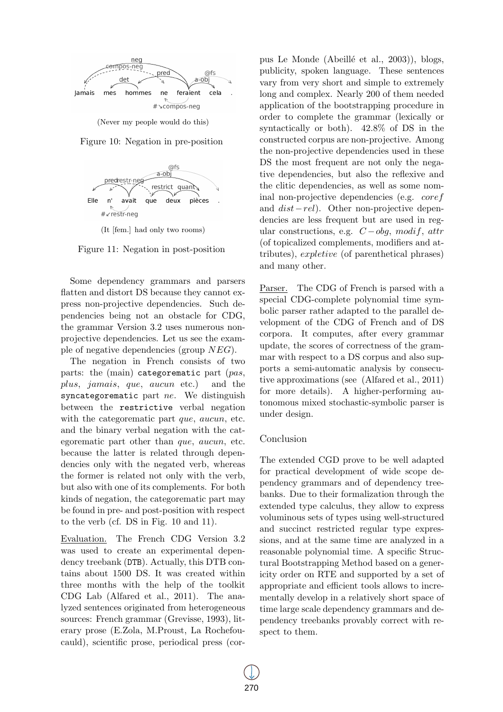

(Never my people would do this)





(It [fem.] had only two rooms)

Figure 11: Negation in post-position

Some dependency grammars and parsers flatten and distort DS because they cannot express non-projective dependencies. Such dependencies being not an obstacle for CDG, the grammar Version 3.2 uses numerous nonprojective dependencies. Let us see the example of negative dependencies (group *NEG*).

The negation in French consists of two parts: the (main) categorematic part (*pas*, *plus*, *jamais*, *que*, *aucun* etc.) and the syncategorematic part *ne*. We distinguish between the restrictive verbal negation with the categorematic part *que*, *aucun*, etc. and the binary verbal negation with the categorematic part other than *que*, *aucun*, etc. because the latter is related through dependencies only with the negated verb, whereas the former is related not only with the verb, but also with one of its complements. For both kinds of negation, the categorematic part may be found in pre- and post-position with respect to the verb (cf. DS in Fig. 10 and 11).

Evaluation. The French CDG Version 3.2 was used to create an experimental dependency treebank (DTB). Actually, this DTB contains about 1500 DS. It was created within three months with the help of the toolkit CDG Lab (Alfared et al., 2011). The analyzed sentences originated from heterogeneous sources: French grammar (Grevisse, 1993), literary prose (E.Zola, M.Proust, La Rochefoucauld), scientific prose, periodical press (cor-

pus Le Monde (Abeill´e et al., 2003)), blogs, publicity, spoken language. These sentences vary from very short and simple to extremely long and complex. Nearly 200 of them needed application of the bootstrapping procedure in order to complete the grammar (lexically or syntactically or both). 42.8% of DS in the constructed corpus are non-projective. Among the non-projective dependencies used in these DS the most frequent are not only the negative dependencies, but also the reflexive and the clitic dependencies, as well as some nominal non-projective dependencies (e.g. *coref* and *dist−rel*). Other non-projective dependencies are less frequent but are used in regular constructions, e.g. *C −obg*, *modif*, *attr* (of topicalized complements, modifiers and attributes), *expletive* (of parenthetical phrases) and many other.

Parser. The CDG of French is parsed with a special CDG-complete polynomial time symbolic parser rather adapted to the parallel development of the CDG of French and of DS corpora. It computes, after every grammar update, the scores of correctness of the grammar with respect to a DS corpus and also supports a semi-automatic analysis by consecutive approximations (see (Alfared et al., 2011) for more details). A higher-performing autonomous mixed stochastic-symbolic parser is under design.

## Conclusion

The extended CGD prove to be well adapted for practical development of wide scope dependency grammars and of dependency treebanks. Due to their formalization through the extended type calculus, they allow to express voluminous sets of types using well-structured and succinct restricted regular type expressions, and at the same time are analyzed in a reasonable polynomial time. A specific Structural Bootstrapping Method based on a genericity order on RTE and supported by a set of appropriate and efficient tools allows to incrementally develop in a relatively short space of time large scale dependency grammars and dependency treebanks provably correct with respect to them.